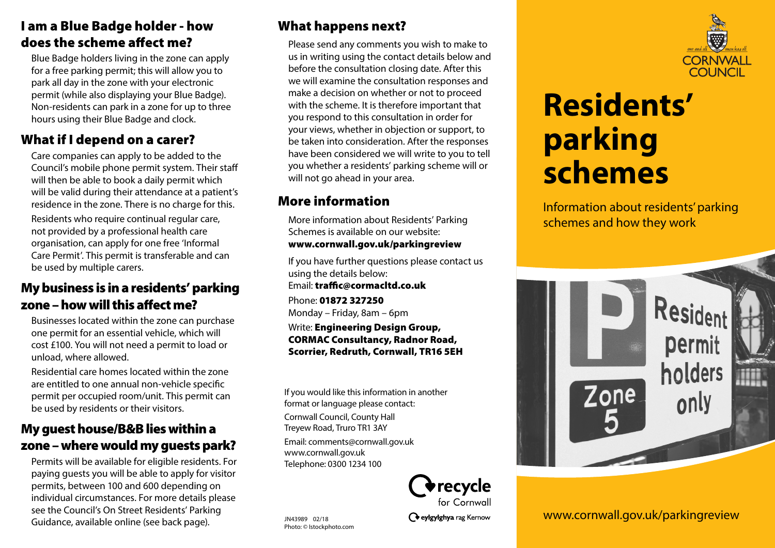## **I am a Blue Badge holder - how**  does the scheme affect me?

Blue Badge holders living in the zone can apply for a free parking permit; this will allow you to park all day in the zone with your electronic permit (while also displaying your Blue Badge). Non-residents can park in a zone for up to three hours using their Blue Badge and clock.

# **What if I depend on a carer?**

Care companies can apply to be added to the Council's mobile phone permit system. Their staff will then be able to book a daily permit which will be valid during their attendance at a patient's residence in the zone. There is no charge for this.

Residents who require continual regular care, not provided by a professional health care organisation, can apply for one free 'Informal Care Permit'. This permit is transferable and can be used by multiple carers.

## **My business is in a residents' parking zone – how will this affect me?**

Businesses located within the zone can purchase one permit for an essential vehicle, which will cost £100. You will not need a permit to load or unload, where allowed.

Residential care homes located within the zone are entitled to one annual non-vehicle specific permit per occupied room/unit. This permit can be used by residents or their visitors.

## **My guest house/B&B lies within a zone – where would my guests park?**

Permits will be available for eligible residents. For paying guests you will be able to apply for visitor permits, between 100 and 600 depending on individual circumstances. For more details please see the Council's On Street Residents' Parking Guidance, available online (see back page).

# **What happens next?**

Please send any comments you wish to make to us in writing using the contact details below and before the consultation closing date. After this we will examine the consultation responses and make a decision on whether or not to proceed with the scheme. It is therefore important that you respond to this consultation in order for your views, whether in objection or support, to be taken into consideration. After the responses have been considered we will write to you to tell you whether a residents' parking scheme will or will not go ahead in your area.

# **More information**

More information about Residents' Parking Schemes is available on our website:**www.cornwall.gov.uk/parkingreview**

If you have further questions please contact us using the details below: Email: **traffic@cormacitd.co.uk** 

Phone: **01872 327250**Monday – Friday, 8am – 6pm

Write: **Engineering Design Group, CORMAC Consultancy, Radnor Road, Scorrier, Redruth, Cornwall, TR16 5EH**

If you would like this information in another format or language please contact:

Cornwall Council, County Hall Treyew Road, Truro TR1 3AY

Email: comments@cornwall.gov.uk www.cornwall.gov.uk Telephone: 0300 1234 100

> recycle ' for Cornwall

C eylgylghya rag Kernow



# **Residents' parking schemes**

Information about residents' parking schemes and how they work



www.cornwall.gov.uk/parkingreview

JN43989 02/18 Photo: © Istockphoto.com